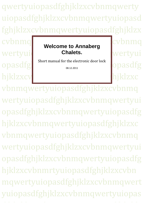qwertyuiopasdfghjklzxcvbnmqwerty uiopasdfghjklzxcvbnmqwertyuiopasd fghjklzxcvbnmqwertyuiopasdfghjklzx

wertyuid Chalets. Wertyui **Welcome to Annaberg Chalets.**

opasdfg Short manual for the electronic door lock

08.12.2011

cvbnmq hjklzxcv

vbnmqwertyuiopasdfghjklzxcvbnmq wertyuiopasdfghjklzxcvbnmqwertyui opasdfghjklzxcvbnmqwertyuiopasdfg hjklzxcvbnmqwertyuiopasdfghjklzxc vbnmqwertyuiopasdfghjklzxcvbnmq wertyuiopasdfghjklzxcvbnmqwertyui opasdfghjklzxcvbnmqwertyuiopasdfg hjklzxcvbnmrtyuiopasdfghjklzxcvbn mqwertyuiopasdfghjklzxcvbnmqwert uiopasdfghjklzxcvbnmqwertyuiopas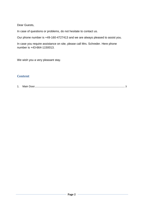Dear Guests,

In case of questions or problems, do not hesitate to contact us.

Our phone number is +49-160-4727413 and we are always pleased to assist you.

In case you require assistance on site, please call Mrs. Schreder. Here phone number is +43-664-1150013.

We wish you a very pleasant stay.

## **Content**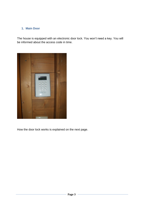## <span id="page-2-0"></span>**1. Main Door**

The house is equipped with an electronic door lock. You won't need a key. You will be informed about the access code in time.



How the door lock works is explained on the next page.